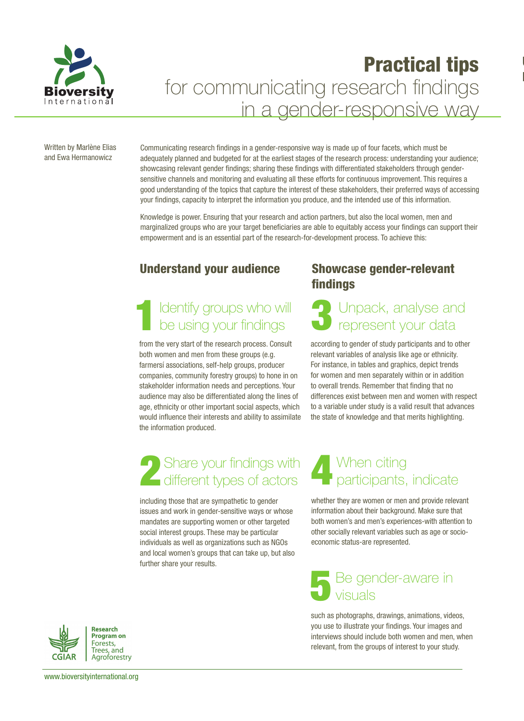

# Practical tips for communicating research findings in a gender-responsive way

Written by Marlène Elias and Ewa Hermanowicz

Communicating research findings in a gender-responsive way is made up of four facets, which must be adequately planned and budgeted for at the earliest stages of the research process: understanding your audience; showcasing relevant gender findings; sharing these findings with differentiated stakeholders through gendersensitive channels and monitoring and evaluating all these efforts for continuous improvement. This requires a good understanding of the topics that capture the interest of these stakeholders, their preferred ways of accessing your findings, capacity to interpret the information you produce, and the intended use of this information.

Knowledge is power. Ensuring that your research and action partners, but also the local women, men and marginalized groups who are your target beneficiaries are able to equitably access your findings can support their empowerment and is an essential part of the research-for-development process. To achieve this:

### Understand your audience

### Identify groups who will be using your findings 1

from the very start of the research process. Consult both women and men from these groups (e.g. farmersí associations, self-help groups, producer companies, community forestry groups) to hone in on stakeholder information needs and perceptions. Your audience may also be differentiated along the lines of age, ethnicity or other important social aspects, which would influence their interests and ability to assimilate the information produced.

# Share your findings with Share your findings with<br>different types of actors

including those that are sympathetic to gender issues and work in gender-sensitive ways or whose mandates are supporting women or other targeted social interest groups. These may be particular individuals as well as organizations such as NGOs and local women's groups that can take up, but also further share your results.

### Showcase gender-relevant findings

 $\overline{\phantom{a}}$ 

 $\overline{\phantom{a}}$ 

### 3 Unpack, analyse and represent your data

according to gender of study participants and to other relevant variables of analysis like age or ethnicity. For instance, in tables and graphics, depict trends for women and men separately within or in addition to overall trends. Remember that finding that no differences exist between men and women with respect to a variable under study is a valid result that advances the state of knowledge and that merits highlighting.

### 4 When citing participants, indicate

whether they are women or men and provide relevant information about their background. Make sure that both women's and men's experiences-with attention to other socially relevant variables such as age or socioeconomic status-are represented.

### 5 Be gender-aware in visuals

such as photographs, drawings, animations, videos, you use to illustrate your findings. Your images and interviews should include both women and men, when relevant, from the groups of interest to your study.



www.bioversityinternational.org